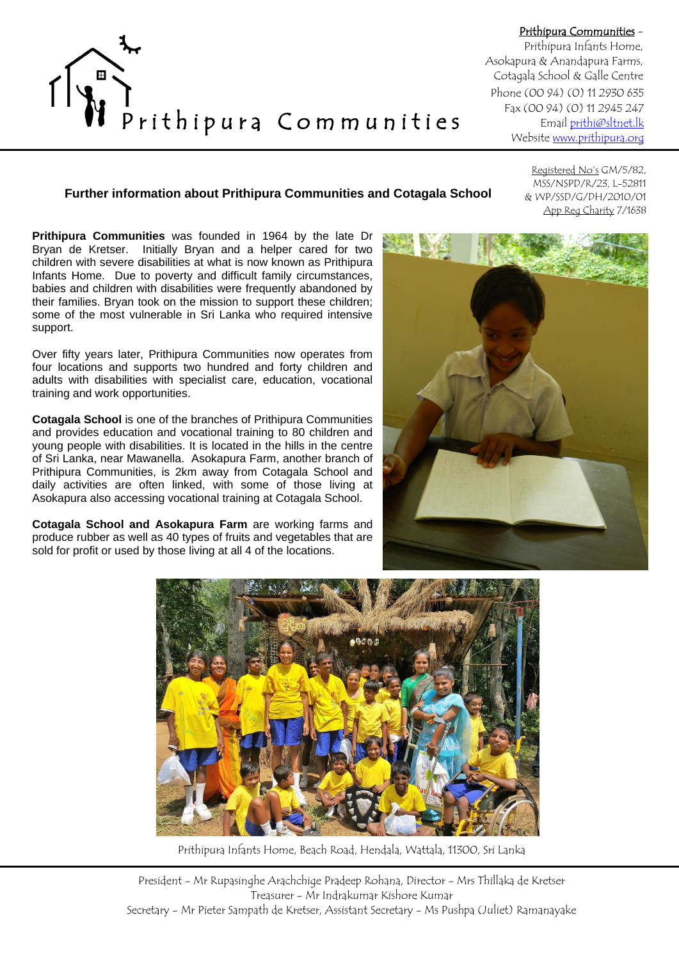

Prithipura Communities - Prithipura Infants Home, Asokapura & Anandapura Farms, Cotagala School & Galle Centre Phone (00 94) (0) 11 2930 635 Fax (00 94) (0) 11 2945 247 Email [prithi@sltnet.lk](mailto:prithi@sltnet.lk) Websit[e www.prithipura.org](http://www.prithi-infant.org/)

## **Further information about Prithipura Communities and Cotagala School**

Registered No's GM/5/82, MSS/NSPD/R/23, L-52811 & WP/SSD/G/DH/2010/01 App Reg Charity 7/1638

**Prithipura Communities** was founded in 1964 by the late Dr Bryan de Kretser. Initially Bryan and a helper cared for two children with severe disabilities at what is now known as Prithipura Infants Home. Due to poverty and difficult family circumstances, babies and children with disabilities were frequently abandoned by their families. Bryan took on the mission to support these children; some of the most vulnerable in Sri Lanka who required intensive support.

Over fifty years later, Prithipura Communities now operates from four locations and supports two hundred and forty children and adults with disabilities with specialist care, education, vocational training and work opportunities.

**Cotagala School** is one of the branches of Prithipura Communities and provides education and vocational training to 80 children and young people with disabilities. It is located in the hills in the centre of Sri Lanka, near Mawanella. Asokapura Farm, another branch of Prithipura Communities, is 2km away from Cotagala School and daily activities are often linked, with some of those living at Asokapura also accessing vocational training at Cotagala School.

**Cotagala School and Asokapura Farm** are working farms and produce rubber as well as 40 types of fruits and vegetables that are sold for profit or used by those living at all 4 of the locations.





Prithipura Infants Home, Beach Road, Hendala, Wattala, 11300, Sri Lanka

President - Mr Rupasinghe Arachchige Pradeep Rohana, Director - Mrs Thillaka de Kretser Treasurer - Mr Indrakumar Kishore Kumar Secretary - Mr Pieter Sampath de Kretser, Assistant Secretary - Ms Pushpa (Juliet) Ramanayake